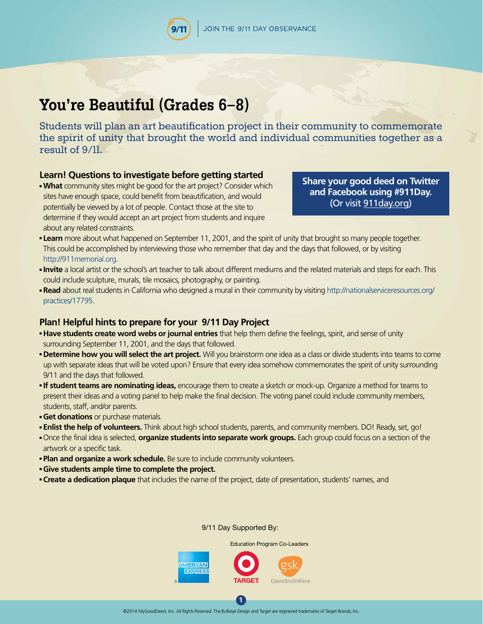# **You're Beautiful (Grades 6–8)**

Students will plan an art beautification project in their community to commemorate the spirit of unity that brought the world and individual communities together as a result of 9/11.

## **Learn! Questions to investigate before getting started**

**What** community sites might be good for the art project? Consider which sites have enough space, could benefit from beautification, and would potentially be viewed by a lot of people. Contact those at the site to determine if they would accept an art project from students and inquire about any related constraints.

**[Share your good deed on Twitter](http://911day.org)  and Facebook using #911Day.**  (Or visit 911day.org)

- **Learn** more about what happened on September 11, 2001, and the spirit of unity that brought so many people together. This could be accomplished by interviewing those who remember that day and the days that followed, or by visiting <http://911memorial.org>.
- **Invite** a local artist or the school's art teacher to talk about different mediums and the related materials and steps for each. This could include sculpture, murals, tile mosaics, photography, or painting.
- **Read** about real students in California who designed a mural in their community by visiting http://nationalserviceresources.org/ practices/17795.

### **Plan! Helpful hints to prepare for your 9/11 Day Project**

- **Have students create word webs or journal entries** that help them define the feelings, spirit, and sense of unity surrounding September 11, 2001, and the days that followed.
- **Determine how you will select the art project.** Will you brainstorm one idea as a class or divide students into teams to come up with separate ideas that will be voted upon? Ensure that every idea somehow commemorates the spirit of unity surrounding 9/11 and the days that followed.
- **If student teams are nominating ideas,** encourage them to create a sketch or mock-up. Organize a method for teams to present their ideas and a voting panel to help make the final decision. The voting panel could include community members, students, staff, and/or parents.
- **Get donations** or purchase materials.
- **Enlist the help of volunteers.** Think about high school students, parents, and community members. DO! Ready, set, go!
- Once the final idea is selected, **organize students into separate work groups.** Each group could focus on a section of the artwork or a specific task.
- **Plan and organize a work schedule.** Be sure to include community volunteers.
- **Give students ample time to complete the project.**
- **Create a dedication plaque** that includes the name of the project, date of presentation, students' names, and

#### 9/11 Day Supported By:

Education Program Co-Leaders



**1**